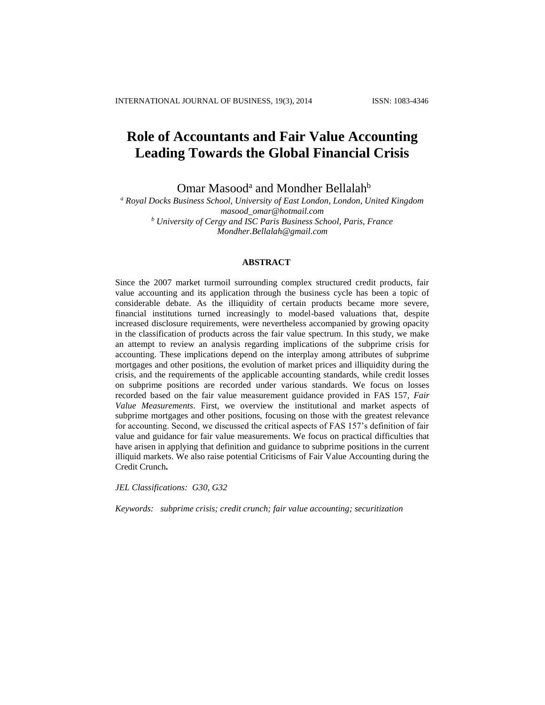# **Role of Accountants and Fair Value Accounting Leading Towards the Global Financial Crisis**

Omar Masood<sup>a</sup> and Mondher Bellalah<sup>b</sup>

*<sup>a</sup> Royal Docks Business School, University of East London, London, United Kingdom masood\_omar@hotmail.com <sup>b</sup> University of Cergy and ISC Paris Business School, Paris, France Mondher.Bellalah@gmail.com*

#### **ABSTRACT**

Since the 2007 market turmoil surrounding complex structured credit products, fair value accounting and its application through the business cycle has been a topic of considerable debate. As the illiquidity of certain products became more severe, financial institutions turned increasingly to model-based valuations that, despite increased disclosure requirements, were nevertheless accompanied by growing opacity in the classification of products across the fair value spectrum. In this study, we make an attempt to review an analysis regarding implications of the subprime crisis for accounting. These implications depend on the interplay among attributes of subprime mortgages and other positions, the evolution of market prices and illiquidity during the crisis, and the requirements of the applicable accounting standards, while credit losses on subprime positions are recorded under various standards. We focus on losses recorded based on the fair value measurement guidance provided in FAS 157, *Fair Value Measurements*. First, we overview the institutional and market aspects of subprime mortgages and other positions, focusing on those with the greatest relevance for accounting. Second, we discussed the critical aspects of FAS 157's definition of fair value and guidance for fair value measurements. We focus on practical difficulties that have arisen in applying that definition and guidance to subprime positions in the current illiquid markets. We also raise potential Criticisms of Fair Value Accounting during the Credit Crunch**.**

*JEL Classifications: G30, G32* 

*Keywords: subprime crisis; credit crunch; fair value accounting; securitization*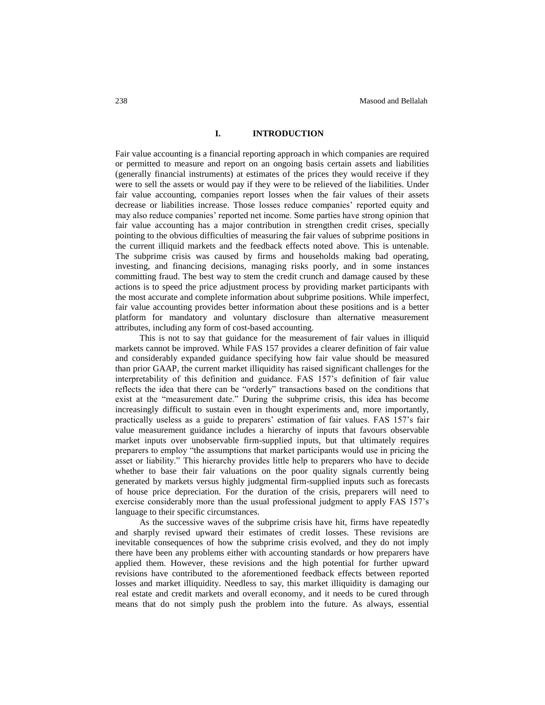#### **I. INTRODUCTION**

Fair value accounting is a financial reporting approach in which companies are required or permitted to measure and report on an ongoing basis certain assets and liabilities (generally financial instruments) at estimates of the prices they would receive if they were to sell the assets or would pay if they were to be relieved of the liabilities. Under fair value accounting, companies report losses when the fair values of their assets decrease or liabilities increase. Those losses reduce companies' reported equity and may also reduce companies' reported net income. Some parties have strong opinion that fair value accounting has a major contribution in strengthen credit crises, specially pointing to the obvious difficulties of measuring the fair values of subprime positions in the current illiquid markets and the feedback effects noted above. This is untenable. The subprime crisis was caused by firms and households making bad operating, investing, and financing decisions, managing risks poorly, and in some instances committing fraud. The best way to stem the credit crunch and damage caused by these actions is to speed the price adjustment process by providing market participants with the most accurate and complete information about subprime positions. While imperfect, fair value accounting provides better information about these positions and is a better platform for mandatory and voluntary disclosure than alternative measurement attributes, including any form of cost-based accounting.

This is not to say that guidance for the measurement of fair values in illiquid markets cannot be improved. While FAS 157 provides a clearer definition of fair value and considerably expanded guidance specifying how fair value should be measured than prior GAAP, the current market illiquidity has raised significant challenges for the interpretability of this definition and guidance. FAS 157's definition of fair value reflects the idea that there can be "orderly" transactions based on the conditions that exist at the "measurement date." During the subprime crisis, this idea has become increasingly difficult to sustain even in thought experiments and, more importantly, practically useless as a guide to preparers' estimation of fair values. FAS 157's fair value measurement guidance includes a hierarchy of inputs that favours observable market inputs over unobservable firm-supplied inputs, but that ultimately requires preparers to employ "the assumptions that market participants would use in pricing the asset or liability." This hierarchy provides little help to preparers who have to decide whether to base their fair valuations on the poor quality signals currently being generated by markets versus highly judgmental firm-supplied inputs such as forecasts of house price depreciation. For the duration of the crisis, preparers will need to exercise considerably more than the usual professional judgment to apply FAS 157's language to their specific circumstances.

As the successive waves of the subprime crisis have hit, firms have repeatedly and sharply revised upward their estimates of credit losses. These revisions are inevitable consequences of how the subprime crisis evolved, and they do not imply there have been any problems either with accounting standards or how preparers have applied them. However, these revisions and the high potential for further upward revisions have contributed to the aforementioned feedback effects between reported losses and market illiquidity. Needless to say, this market illiquidity is damaging our real estate and credit markets and overall economy, and it needs to be cured through means that do not simply push the problem into the future. As always, essential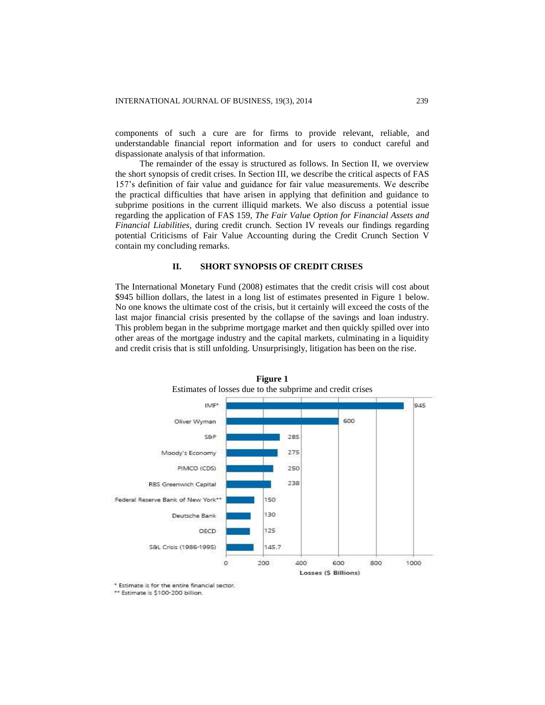components of such a cure are for firms to provide relevant, reliable, and understandable financial report information and for users to conduct careful and dispassionate analysis of that information.

The remainder of the essay is structured as follows. In Section II, we overview the short synopsis of credit crises. In Section III, we describe the critical aspects of FAS 157's definition of fair value and guidance for fair value measurements. We describe the practical difficulties that have arisen in applying that definition and guidance to subprime positions in the current illiquid markets. We also discuss a potential issue regarding the application of FAS 159, *The Fair Value Option for Financial Assets and Financial Liabilities*, during credit crunch. Section IV reveals our findings regarding potential Criticisms of Fair Value Accounting during the Credit Crunch Section V contain my concluding remarks.

# **II. SHORT SYNOPSIS OF CREDIT CRISES**

The International Monetary Fund (2008) estimates that the credit crisis will cost about \$945 billion dollars, the latest in a long list of estimates presented in Figure 1 below. No one knows the ultimate cost of the crisis, but it certainly will exceed the costs of the last major financial crisis presented by the collapse of the savings and loan industry. This problem began in the subprime mortgage market and then quickly spilled over into other areas of the mortgage industry and the capital markets, culminating in a liquidity and credit crisis that is still unfolding. Unsurprisingly, litigation has been on the rise.



**Figure 1**

\* Estimate is for the entire financial sector.

\*\* Estimate is \$100-200 billion.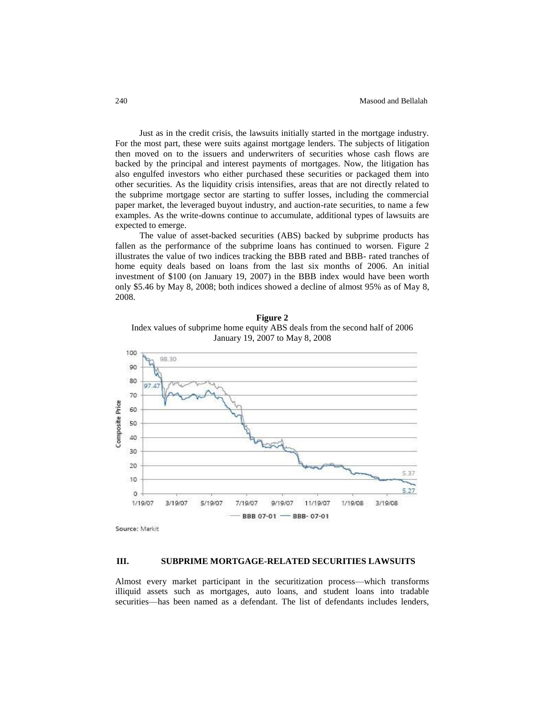Just as in the credit crisis, the lawsuits initially started in the mortgage industry. For the most part, these were suits against mortgage lenders. The subjects of litigation then moved on to the issuers and underwriters of securities whose cash flows are backed by the principal and interest payments of mortgages. Now, the litigation has also engulfed investors who either purchased these securities or packaged them into other securities. As the liquidity crisis intensifies, areas that are not directly related to the subprime mortgage sector are starting to suffer losses, including the commercial paper market, the leveraged buyout industry, and auction-rate securities, to name a few examples. As the write-downs continue to accumulate, additional types of lawsuits are expected to emerge.

The value of asset-backed securities (ABS) backed by subprime products has fallen as the performance of the subprime loans has continued to worsen. Figure 2 illustrates the value of two indices tracking the BBB rated and BBB- rated tranches of home equity deals based on loans from the last six months of 2006. An initial investment of \$100 (on January 19, 2007) in the BBB index would have been worth only \$5.46 by May 8, 2008; both indices showed a decline of almost 95% as of May 8, 2008.





Source: Markit

## **III. SUBPRIME MORTGAGE-RELATED SECURITIES LAWSUITS**

Almost every market participant in the securitization process—which transforms illiquid assets such as mortgages, auto loans, and student loans into tradable securities—has been named as a defendant. The list of defendants includes lenders,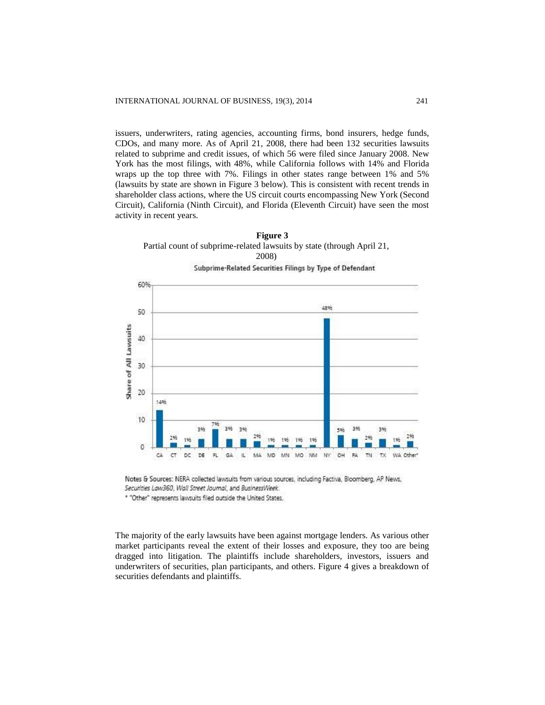issuers, underwriters, rating agencies, accounting firms, bond insurers, hedge funds, CDOs, and many more. As of April 21, 2008, there had been 132 securities lawsuits related to subprime and credit issues, of which 56 were filed since January 2008. New York has the most filings, with 48%, while California follows with 14% and Florida wraps up the top three with 7%. Filings in other states range between 1% and 5% (lawsuits by state are shown in Figure 3 below). This is consistent with recent trends in shareholder class actions, where the US circuit courts encompassing New York (Second Circuit), California (Ninth Circuit), and Florida (Eleventh Circuit) have seen the most activity in recent years.



**Figure 3**

Notes & Sources: NERA collected lawsuits from various sources, including Factiva, Bloomberg, AP News, Securities Law360, Wall Street Journal, and BusinessWeek.

\* "Other" represents lawsuits filed outside the United States.

The majority of the early lawsuits have been against mortgage lenders. As various other market participants reveal the extent of their losses and exposure, they too are being dragged into litigation. The plaintiffs include shareholders, investors, issuers and underwriters of securities, plan participants, and others. Figure 4 gives a breakdown of securities defendants and plaintiffs.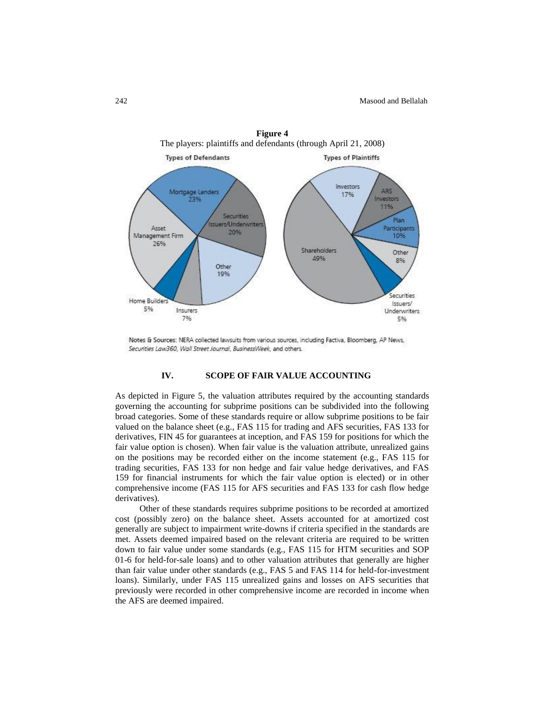

Notes & Sources: NERA collected lawsuits from various sources, including Factiva, Bloomberg, AP News, Securities Law360, Wall Street Journal, BusinessWeek, and others.

#### **IV. SCOPE OF FAIR VALUE ACCOUNTING**

As depicted in Figure 5, the valuation attributes required by the accounting standards governing the accounting for subprime positions can be subdivided into the following broad categories. Some of these standards require or allow subprime positions to be fair valued on the balance sheet (e.g., FAS 115 for trading and AFS securities, FAS 133 for derivatives, FIN 45 for guarantees at inception, and FAS 159 for positions for which the fair value option is chosen). When fair value is the valuation attribute, unrealized gains on the positions may be recorded either on the income statement (e.g., FAS 115 for trading securities, FAS 133 for non hedge and fair value hedge derivatives, and FAS 159 for financial instruments for which the fair value option is elected) or in other comprehensive income (FAS 115 for AFS securities and FAS 133 for cash flow hedge derivatives).

Other of these standards requires subprime positions to be recorded at amortized cost (possibly zero) on the balance sheet. Assets accounted for at amortized cost generally are subject to impairment write-downs if criteria specified in the standards are met. Assets deemed impaired based on the relevant criteria are required to be written down to fair value under some standards (e.g., FAS 115 for HTM securities and SOP 01-6 for held-for-sale loans) and to other valuation attributes that generally are higher than fair value under other standards (e.g., FAS 5 and FAS 114 for held-for-investment loans). Similarly, under FAS 115 unrealized gains and losses on AFS securities that previously were recorded in other comprehensive income are recorded in income when the AFS are deemed impaired.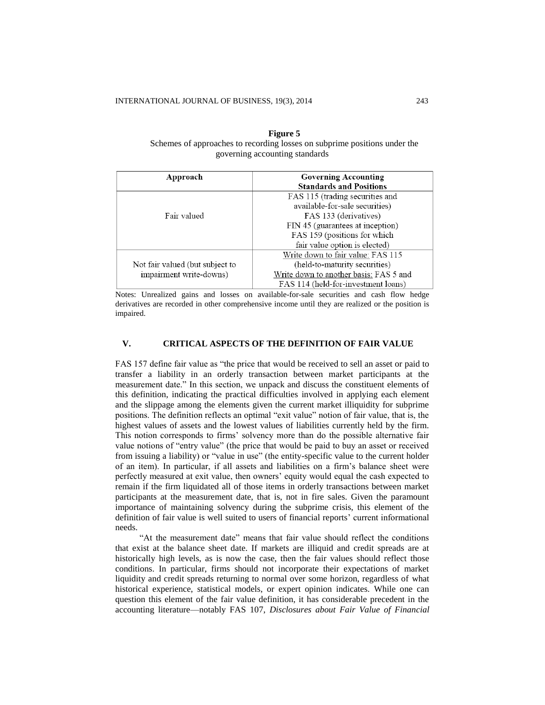| Figure 5                                                                  |
|---------------------------------------------------------------------------|
| Schemes of approaches to recording losses on subprime positions under the |
| governing accounting standards                                            |

| Approach                        | <b>Governing Accounting</b><br><b>Standards and Positions</b>     |
|---------------------------------|-------------------------------------------------------------------|
|                                 | FAS 115 (trading securities and<br>available-for-sale securities) |
| Fair valued                     | FAS 133 (derivatives)<br>FIN 45 (guarantees at inception)         |
|                                 | FAS 159 (positions for which                                      |
|                                 | fair value option is elected)                                     |
|                                 | Write down to fair value: FAS 115                                 |
| Not fair valued (but subject to | (held-to-maturity securities)                                     |
| impairment write-downs)         | Write down to another basis: FAS 5 and                            |
|                                 | FAS 114 (held-for-investment loans)                               |

Notes: Unrealized gains and losses on available-for-sale securities and cash flow hedge derivatives are recorded in other comprehensive income until they are realized or the position is impaired.

## **V. CRITICAL ASPECTS OF THE DEFINITION OF FAIR VALUE**

FAS 157 define fair value as "the price that would be received to sell an asset or paid to transfer a liability in an orderly transaction between market participants at the measurement date." In this section, we unpack and discuss the constituent elements of this definition, indicating the practical difficulties involved in applying each element and the slippage among the elements given the current market illiquidity for subprime positions. The definition reflects an optimal "exit value" notion of fair value, that is, the highest values of assets and the lowest values of liabilities currently held by the firm. This notion corresponds to firms' solvency more than do the possible alternative fair value notions of "entry value" (the price that would be paid to buy an asset or received from issuing a liability) or "value in use" (the entity-specific value to the current holder of an item). In particular, if all assets and liabilities on a firm's balance sheet were perfectly measured at exit value, then owners' equity would equal the cash expected to remain if the firm liquidated all of those items in orderly transactions between market participants at the measurement date, that is, not in fire sales. Given the paramount importance of maintaining solvency during the subprime crisis, this element of the definition of fair value is well suited to users of financial reports' current informational needs.

"At the measurement date" means that fair value should reflect the conditions that exist at the balance sheet date. If markets are illiquid and credit spreads are at historically high levels, as is now the case, then the fair values should reflect those conditions. In particular, firms should not incorporate their expectations of market liquidity and credit spreads returning to normal over some horizon, regardless of what historical experience, statistical models, or expert opinion indicates. While one can question this element of the fair value definition, it has considerable precedent in the accounting literature—notably FAS 107, *Disclosures about Fair Value of Financial*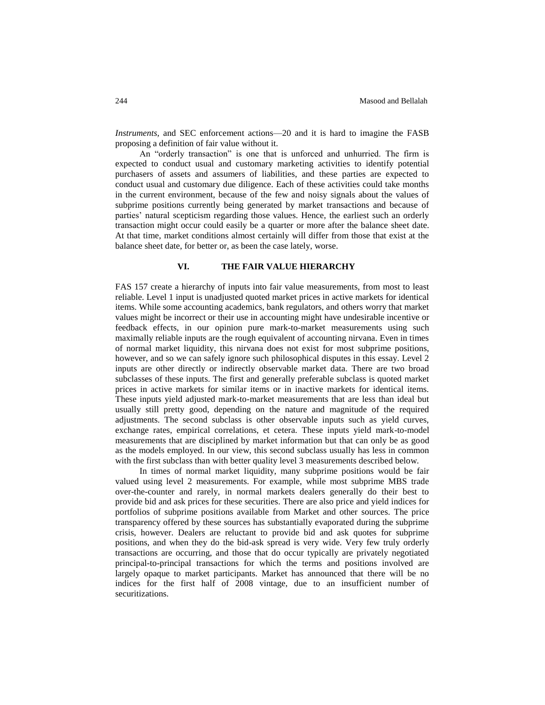*Instruments,* and SEC enforcement actions—20 and it is hard to imagine the FASB proposing a definition of fair value without it.

An "orderly transaction" is one that is unforced and unhurried. The firm is expected to conduct usual and customary marketing activities to identify potential purchasers of assets and assumers of liabilities, and these parties are expected to conduct usual and customary due diligence. Each of these activities could take months in the current environment, because of the few and noisy signals about the values of subprime positions currently being generated by market transactions and because of parties' natural scepticism regarding those values. Hence, the earliest such an orderly transaction might occur could easily be a quarter or more after the balance sheet date. At that time, market conditions almost certainly will differ from those that exist at the balance sheet date, for better or, as been the case lately, worse.

## **VI. THE FAIR VALUE HIERARCHY**

FAS 157 create a hierarchy of inputs into fair value measurements, from most to least reliable. Level 1 input is unadjusted quoted market prices in active markets for identical items. While some accounting academics, bank regulators, and others worry that market values might be incorrect or their use in accounting might have undesirable incentive or feedback effects, in our opinion pure mark-to-market measurements using such maximally reliable inputs are the rough equivalent of accounting nirvana. Even in times of normal market liquidity, this nirvana does not exist for most subprime positions, however, and so we can safely ignore such philosophical disputes in this essay. Level 2 inputs are other directly or indirectly observable market data. There are two broad subclasses of these inputs. The first and generally preferable subclass is quoted market prices in active markets for similar items or in inactive markets for identical items. These inputs yield adjusted mark-to-market measurements that are less than ideal but usually still pretty good, depending on the nature and magnitude of the required adjustments. The second subclass is other observable inputs such as yield curves, exchange rates, empirical correlations, et cetera. These inputs yield mark-to-model measurements that are disciplined by market information but that can only be as good as the models employed. In our view, this second subclass usually has less in common with the first subclass than with better quality level 3 measurements described below.

In times of normal market liquidity, many subprime positions would be fair valued using level 2 measurements. For example, while most subprime MBS trade over-the-counter and rarely, in normal markets dealers generally do their best to provide bid and ask prices for these securities. There are also price and yield indices for portfolios of subprime positions available from Market and other sources. The price transparency offered by these sources has substantially evaporated during the subprime crisis, however. Dealers are reluctant to provide bid and ask quotes for subprime positions, and when they do the bid-ask spread is very wide. Very few truly orderly transactions are occurring, and those that do occur typically are privately negotiated principal-to-principal transactions for which the terms and positions involved are largely opaque to market participants. Market has announced that there will be no indices for the first half of 2008 vintage, due to an insufficient number of securitizations.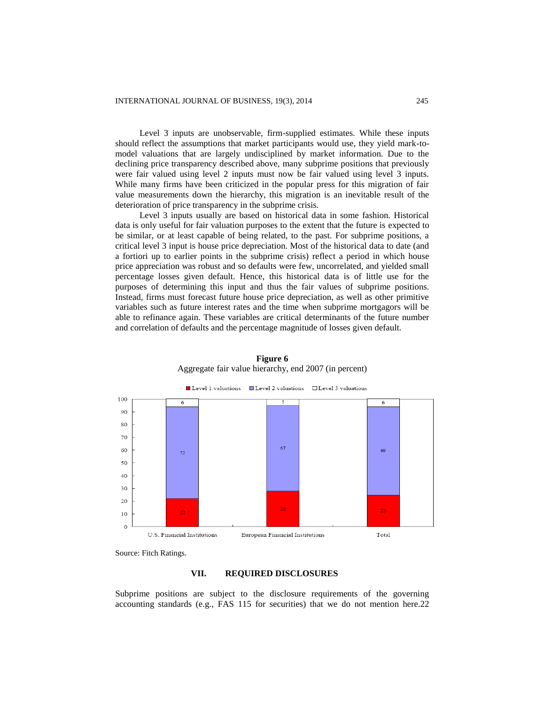Level 3 inputs are unobservable, firm-supplied estimates. While these inputs should reflect the assumptions that market participants would use, they yield mark-tomodel valuations that are largely undisciplined by market information. Due to the declining price transparency described above, many subprime positions that previously were fair valued using level 2 inputs must now be fair valued using level 3 inputs. While many firms have been criticized in the popular press for this migration of fair value measurements down the hierarchy, this migration is an inevitable result of the deterioration of price transparency in the subprime crisis.

Level 3 inputs usually are based on historical data in some fashion. Historical data is only useful for fair valuation purposes to the extent that the future is expected to be similar, or at least capable of being related, to the past. For subprime positions, a critical level 3 input is house price depreciation. Most of the historical data to date (and a fortiori up to earlier points in the subprime crisis) reflect a period in which house price appreciation was robust and so defaults were few, uncorrelated, and yielded small percentage losses given default. Hence, this historical data is of little use for the purposes of determining this input and thus the fair values of subprime positions. Instead, firms must forecast future house price depreciation, as well as other primitive variables such as future interest rates and the time when subprime mortgagors will be able to refinance again. These variables are critical determinants of the future number and correlation of defaults and the percentage magnitude of losses given default.



**Figure 6** Aggregate fair value hierarchy, end 2007 (in percent)

Source: Fitch Ratings.

#### **VII. REQUIRED DISCLOSURES**

Subprime positions are subject to the disclosure requirements of the governing accounting standards (e.g., FAS 115 for securities) that we do not mention here.22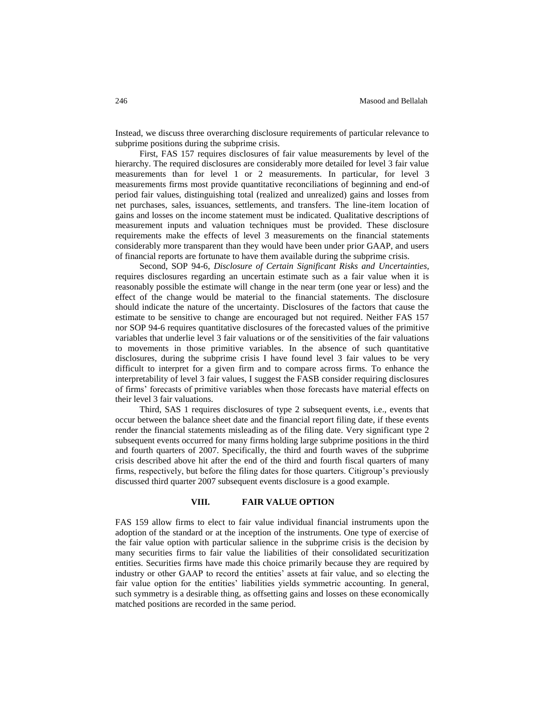Instead, we discuss three overarching disclosure requirements of particular relevance to subprime positions during the subprime crisis.

First, FAS 157 requires disclosures of fair value measurements by level of the hierarchy. The required disclosures are considerably more detailed for level 3 fair value measurements than for level 1 or 2 measurements. In particular, for level 3 measurements firms most provide quantitative reconciliations of beginning and end-of period fair values, distinguishing total (realized and unrealized) gains and losses from net purchases, sales, issuances, settlements, and transfers. The line-item location of gains and losses on the income statement must be indicated. Qualitative descriptions of measurement inputs and valuation techniques must be provided. These disclosure requirements make the effects of level 3 measurements on the financial statements considerably more transparent than they would have been under prior GAAP, and users of financial reports are fortunate to have them available during the subprime crisis.

Second, SOP 94-6, *Disclosure of Certain Significant Risks and Uncertainties,*  requires disclosures regarding an uncertain estimate such as a fair value when it is reasonably possible the estimate will change in the near term (one year or less) and the effect of the change would be material to the financial statements. The disclosure should indicate the nature of the uncertainty. Disclosures of the factors that cause the estimate to be sensitive to change are encouraged but not required. Neither FAS 157 nor SOP 94-6 requires quantitative disclosures of the forecasted values of the primitive variables that underlie level 3 fair valuations or of the sensitivities of the fair valuations to movements in those primitive variables. In the absence of such quantitative disclosures, during the subprime crisis I have found level 3 fair values to be very difficult to interpret for a given firm and to compare across firms. To enhance the interpretability of level 3 fair values, I suggest the FASB consider requiring disclosures of firms' forecasts of primitive variables when those forecasts have material effects on their level 3 fair valuations.

Third, SAS 1 requires disclosures of type 2 subsequent events, i.e., events that occur between the balance sheet date and the financial report filing date, if these events render the financial statements misleading as of the filing date. Very significant type 2 subsequent events occurred for many firms holding large subprime positions in the third and fourth quarters of 2007. Specifically, the third and fourth waves of the subprime crisis described above hit after the end of the third and fourth fiscal quarters of many firms, respectively, but before the filing dates for those quarters. Citigroup's previously discussed third quarter 2007 subsequent events disclosure is a good example.

#### **VIII. FAIR VALUE OPTION**

FAS 159 allow firms to elect to fair value individual financial instruments upon the adoption of the standard or at the inception of the instruments. One type of exercise of the fair value option with particular salience in the subprime crisis is the decision by many securities firms to fair value the liabilities of their consolidated securitization entities. Securities firms have made this choice primarily because they are required by industry or other GAAP to record the entities' assets at fair value, and so electing the fair value option for the entities' liabilities yields symmetric accounting. In general, such symmetry is a desirable thing, as offsetting gains and losses on these economically matched positions are recorded in the same period.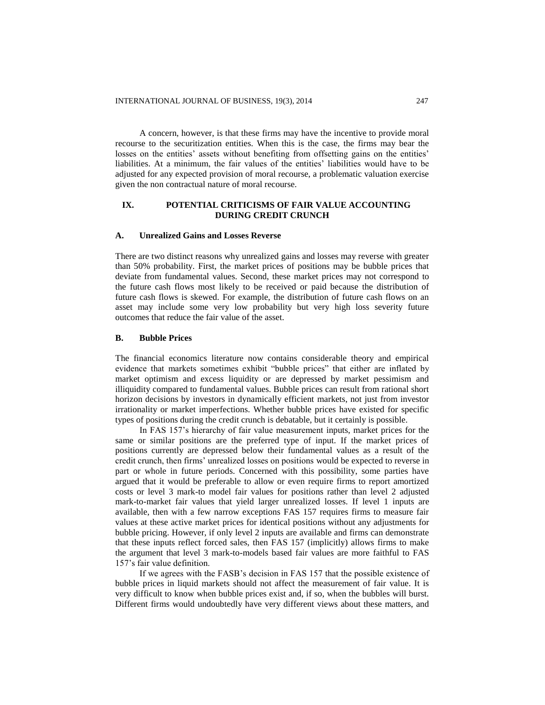A concern, however, is that these firms may have the incentive to provide moral recourse to the securitization entities. When this is the case, the firms may bear the losses on the entities' assets without benefiting from offsetting gains on the entities' liabilities. At a minimum, the fair values of the entities' liabilities would have to be adjusted for any expected provision of moral recourse, a problematic valuation exercise given the non contractual nature of moral recourse.

## **IX. POTENTIAL CRITICISMS OF FAIR VALUE ACCOUNTING DURING CREDIT CRUNCH**

## **A. Unrealized Gains and Losses Reverse**

There are two distinct reasons why unrealized gains and losses may reverse with greater than 50% probability. First, the market prices of positions may be bubble prices that deviate from fundamental values. Second, these market prices may not correspond to the future cash flows most likely to be received or paid because the distribution of future cash flows is skewed. For example, the distribution of future cash flows on an asset may include some very low probability but very high loss severity future outcomes that reduce the fair value of the asset.

#### **B. Bubble Prices**

The financial economics literature now contains considerable theory and empirical evidence that markets sometimes exhibit "bubble prices" that either are inflated by market optimism and excess liquidity or are depressed by market pessimism and illiquidity compared to fundamental values. Bubble prices can result from rational short horizon decisions by investors in dynamically efficient markets, not just from investor irrationality or market imperfections. Whether bubble prices have existed for specific types of positions during the credit crunch is debatable, but it certainly is possible.

In FAS 157's hierarchy of fair value measurement inputs, market prices for the same or similar positions are the preferred type of input. If the market prices of positions currently are depressed below their fundamental values as a result of the credit crunch, then firms' unrealized losses on positions would be expected to reverse in part or whole in future periods. Concerned with this possibility, some parties have argued that it would be preferable to allow or even require firms to report amortized costs or level 3 mark-to model fair values for positions rather than level 2 adjusted mark-to-market fair values that yield larger unrealized losses. If level 1 inputs are available, then with a few narrow exceptions FAS 157 requires firms to measure fair values at these active market prices for identical positions without any adjustments for bubble pricing. However, if only level 2 inputs are available and firms can demonstrate that these inputs reflect forced sales, then FAS 157 (implicitly) allows firms to make the argument that level 3 mark-to-models based fair values are more faithful to FAS 157's fair value definition.

If we agrees with the FASB's decision in FAS 157 that the possible existence of bubble prices in liquid markets should not affect the measurement of fair value. It is very difficult to know when bubble prices exist and, if so, when the bubbles will burst. Different firms would undoubtedly have very different views about these matters, and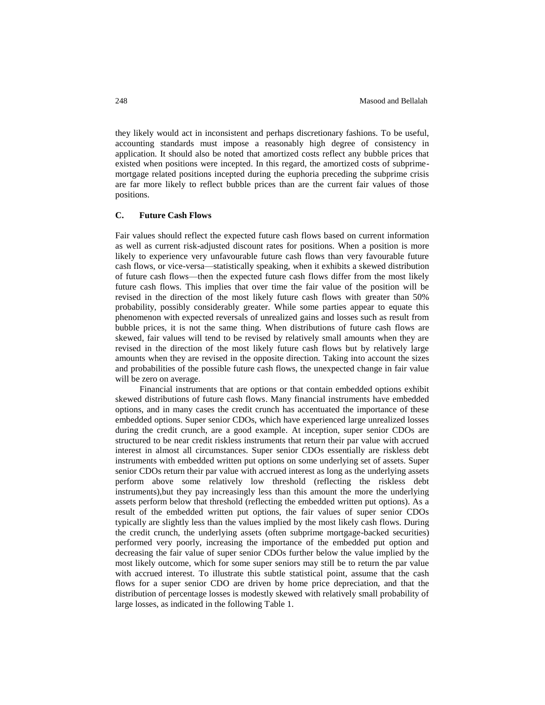they likely would act in inconsistent and perhaps discretionary fashions. To be useful, accounting standards must impose a reasonably high degree of consistency in application. It should also be noted that amortized costs reflect any bubble prices that existed when positions were incepted. In this regard, the amortized costs of subprimemortgage related positions incepted during the euphoria preceding the subprime crisis are far more likely to reflect bubble prices than are the current fair values of those positions.

## **C. Future Cash Flows**

Fair values should reflect the expected future cash flows based on current information as well as current risk-adjusted discount rates for positions. When a position is more likely to experience very unfavourable future cash flows than very favourable future cash flows, or vice-versa—statistically speaking, when it exhibits a skewed distribution of future cash flows—then the expected future cash flows differ from the most likely future cash flows. This implies that over time the fair value of the position will be revised in the direction of the most likely future cash flows with greater than 50% probability, possibly considerably greater. While some parties appear to equate this phenomenon with expected reversals of unrealized gains and losses such as result from bubble prices, it is not the same thing. When distributions of future cash flows are skewed, fair values will tend to be revised by relatively small amounts when they are revised in the direction of the most likely future cash flows but by relatively large amounts when they are revised in the opposite direction. Taking into account the sizes and probabilities of the possible future cash flows, the unexpected change in fair value will be zero on average.

Financial instruments that are options or that contain embedded options exhibit skewed distributions of future cash flows. Many financial instruments have embedded options, and in many cases the credit crunch has accentuated the importance of these embedded options. Super senior CDOs, which have experienced large unrealized losses during the credit crunch, are a good example. At inception, super senior CDOs are structured to be near credit riskless instruments that return their par value with accrued interest in almost all circumstances. Super senior CDOs essentially are riskless debt instruments with embedded written put options on some underlying set of assets. Super senior CDOs return their par value with accrued interest as long as the underlying assets perform above some relatively low threshold (reflecting the riskless debt instruments),but they pay increasingly less than this amount the more the underlying assets perform below that threshold (reflecting the embedded written put options). As a result of the embedded written put options, the fair values of super senior CDOs typically are slightly less than the values implied by the most likely cash flows. During the credit crunch, the underlying assets (often subprime mortgage-backed securities) performed very poorly, increasing the importance of the embedded put option and decreasing the fair value of super senior CDOs further below the value implied by the most likely outcome, which for some super seniors may still be to return the par value with accrued interest. To illustrate this subtle statistical point, assume that the cash flows for a super senior CDO are driven by home price depreciation, and that the distribution of percentage losses is modestly skewed with relatively small probability of large losses, as indicated in the following Table 1.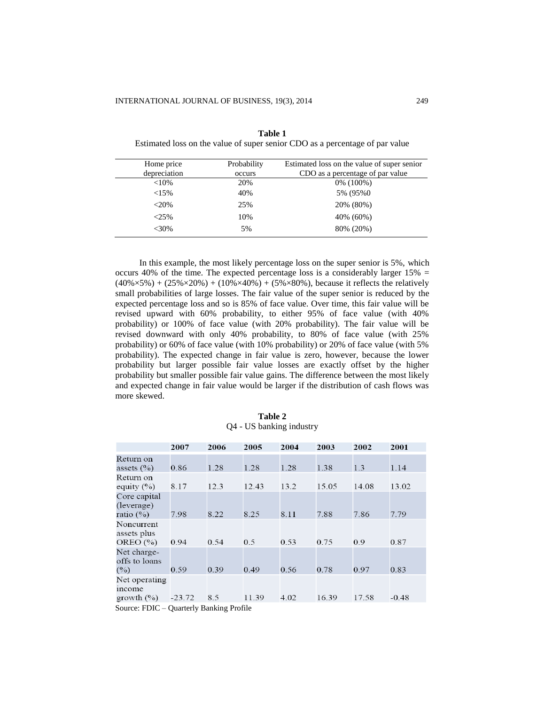| Home price   | Probability | Estimated loss on the value of super senior |  |  |  |
|--------------|-------------|---------------------------------------------|--|--|--|
| depreciation | occurs      | CDO as a percentage of par value            |  |  |  |
| ${<}10%$     | 20%         | $0\%$ (100%)                                |  |  |  |
| <15%         | 40%         | 5% (95%0)                                   |  |  |  |
| $<20\%$      | 25%         | 20% (80%)                                   |  |  |  |
| <25%         | 10%         | 40% (60%)                                   |  |  |  |
| $<$ 30%      | 5%          | 80% (20%)                                   |  |  |  |
|              |             |                                             |  |  |  |

**Table 1** Estimated loss on the value of super senior CDO as a percentage of par value

In this example, the most likely percentage loss on the super senior is 5%, which occurs 40% of the time. The expected percentage loss is a considerably larger  $15\%$  =  $(40\% \times 5\%) + (25\% \times 20\%) + (10\% \times 40\%) + (5\% \times 80\%)$ , because it reflects the relatively small probabilities of large losses. The fair value of the super senior is reduced by the expected percentage loss and so is 85% of face value. Over time, this fair value will be revised upward with 60% probability, to either 95% of face value (with 40% probability) or 100% of face value (with 20% probability). The fair value will be revised downward with only 40% probability, to 80% of face value (with 25% probability) or 60% of face value (with 10% probability) or 20% of face value (with 5% probability). The expected change in fair value is zero, however, because the lower probability but larger possible fair value losses are exactly offset by the higher probability but smaller possible fair value gains. The difference between the most likely and expected change in fair value would be larger if the distribution of cash flows was more skewed.

|                                          | 2007     | 2006 | 2005  | 2004 | 2003  | 2002  | 2001    |  |  |
|------------------------------------------|----------|------|-------|------|-------|-------|---------|--|--|
| Return on                                |          |      |       |      |       |       |         |  |  |
| assets $(\% )$                           | 0.86     | 1.28 | 1.28  | 1.28 | 1.38  | 1.3   | 1.14    |  |  |
| Return on                                |          |      |       |      |       |       |         |  |  |
| equity $(\% )$                           | 8.17     | 12.3 | 12.43 | 13.2 | 15.05 | 14.08 | 13.02   |  |  |
| Core capital                             |          |      |       |      |       |       |         |  |  |
| (leverage)                               |          |      |       |      |       |       |         |  |  |
| ratio $(\%)$                             | 7.98     | 8.22 | 8.25  | 8.11 | 7.88  | 7.86  | 7.79    |  |  |
| Noncurrent<br>assets plus                |          |      |       |      |       |       |         |  |  |
| OREO $(\% )$                             | 0.94     | 0.54 | 0.5   | 0.53 | 0.75  | 0.9   | 0.87    |  |  |
| Net charge-<br>offs to loans             |          |      |       |      |       |       |         |  |  |
| (%)                                      | 0.59     | 0.39 | 0.49  | 0.56 | 0.78  | 0.97  | 0.83    |  |  |
| Net operating<br>income                  |          |      |       |      |       |       |         |  |  |
| growth $(\%)$                            | $-23.72$ | 8.5  | 11.39 | 4.02 | 16.39 | 17.58 | $-0.48$ |  |  |
| Source: FDIC – Quarterly Banking Profile |          |      |       |      |       |       |         |  |  |

**Table 2** Q4 - US banking industry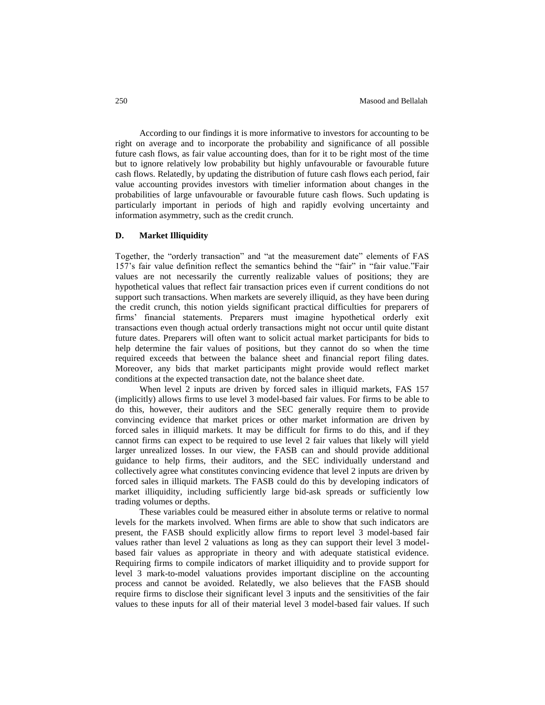According to our findings it is more informative to investors for accounting to be right on average and to incorporate the probability and significance of all possible future cash flows, as fair value accounting does, than for it to be right most of the time but to ignore relatively low probability but highly unfavourable or favourable future cash flows. Relatedly, by updating the distribution of future cash flows each period, fair value accounting provides investors with timelier information about changes in the probabilities of large unfavourable or favourable future cash flows. Such updating is particularly important in periods of high and rapidly evolving uncertainty and information asymmetry, such as the credit crunch.

## **D. Market Illiquidity**

Together, the "orderly transaction" and "at the measurement date" elements of FAS 157's fair value definition reflect the semantics behind the "fair" in "fair value."Fair values are not necessarily the currently realizable values of positions; they are hypothetical values that reflect fair transaction prices even if current conditions do not support such transactions. When markets are severely illiquid, as they have been during the credit crunch, this notion yields significant practical difficulties for preparers of firms' financial statements. Preparers must imagine hypothetical orderly exit transactions even though actual orderly transactions might not occur until quite distant future dates. Preparers will often want to solicit actual market participants for bids to help determine the fair values of positions, but they cannot do so when the time required exceeds that between the balance sheet and financial report filing dates. Moreover, any bids that market participants might provide would reflect market conditions at the expected transaction date, not the balance sheet date.

When level 2 inputs are driven by forced sales in illiquid markets, FAS 157 (implicitly) allows firms to use level 3 model-based fair values. For firms to be able to do this, however, their auditors and the SEC generally require them to provide convincing evidence that market prices or other market information are driven by forced sales in illiquid markets. It may be difficult for firms to do this, and if they cannot firms can expect to be required to use level 2 fair values that likely will yield larger unrealized losses. In our view, the FASB can and should provide additional guidance to help firms, their auditors, and the SEC individually understand and collectively agree what constitutes convincing evidence that level 2 inputs are driven by forced sales in illiquid markets. The FASB could do this by developing indicators of market illiquidity, including sufficiently large bid-ask spreads or sufficiently low trading volumes or depths.

These variables could be measured either in absolute terms or relative to normal levels for the markets involved. When firms are able to show that such indicators are present, the FASB should explicitly allow firms to report level 3 model-based fair values rather than level 2 valuations as long as they can support their level 3 modelbased fair values as appropriate in theory and with adequate statistical evidence. Requiring firms to compile indicators of market illiquidity and to provide support for level 3 mark-to-model valuations provides important discipline on the accounting process and cannot be avoided. Relatedly, we also believes that the FASB should require firms to disclose their significant level 3 inputs and the sensitivities of the fair values to these inputs for all of their material level 3 model-based fair values. If such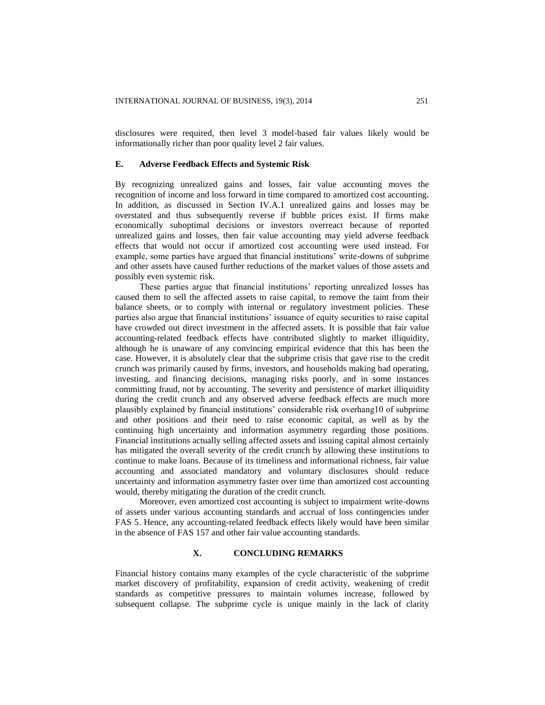disclosures were required, then level 3 model-based fair values likely would be informationally richer than poor quality level 2 fair values.

## **E. Adverse Feedback Effects and Systemic Risk**

By recognizing unrealized gains and losses, fair value accounting moves the recognition of income and loss forward in time compared to amortized cost accounting. In addition, as discussed in Section IV.A.1 unrealized gains and losses may be overstated and thus subsequently reverse if bubble prices exist. If firms make economically suboptimal decisions or investors overreact because of reported unrealized gains and losses, then fair value accounting may yield adverse feedback effects that would not occur if amortized cost accounting were used instead. For example, some parties have argued that financial institutions' write-downs of subprime and other assets have caused further reductions of the market values of those assets and possibly even systemic risk.

These parties argue that financial institutions' reporting unrealized losses has caused them to sell the affected assets to raise capital, to remove the taint from their balance sheets, or to comply with internal or regulatory investment policies. These parties also argue that financial institutions' issuance of equity securities to raise capital have crowded out direct investment in the affected assets. It is possible that fair value accounting-related feedback effects have contributed slightly to market illiquidity, although he is unaware of any convincing empirical evidence that this has been the case. However, it is absolutely clear that the subprime crisis that gave rise to the credit crunch was primarily caused by firms, investors, and households making bad operating, investing, and financing decisions, managing risks poorly, and in some instances committing fraud, not by accounting. The severity and persistence of market illiquidity during the credit crunch and any observed adverse feedback effects are much more plausibly explained by financial institutions' considerable risk overhang10 of subprime and other positions and their need to raise economic capital, as well as by the continuing high uncertainty and information asymmetry regarding those positions. Financial institutions actually selling affected assets and issuing capital almost certainly has mitigated the overall severity of the credit crunch by allowing these institutions to continue to make loans. Because of its timeliness and informational richness, fair value accounting and associated mandatory and voluntary disclosures should reduce uncertainty and information asymmetry faster over time than amortized cost accounting would, thereby mitigating the duration of the credit crunch.

Moreover, even amortized cost accounting is subject to impairment write-downs of assets under various accounting standards and accrual of loss contingencies under FAS 5. Hence, any accounting-related feedback effects likely would have been similar in the absence of FAS 157 and other fair value accounting standards.

## **X. CONCLUDING REMARKS**

Financial history contains many examples of the cycle characteristic of the subprime market discovery of profitability, expansion of credit activity, weakening of credit standards as competitive pressures to maintain volumes increase, followed by subsequent collapse. The subprime cycle is unique mainly in the lack of clarity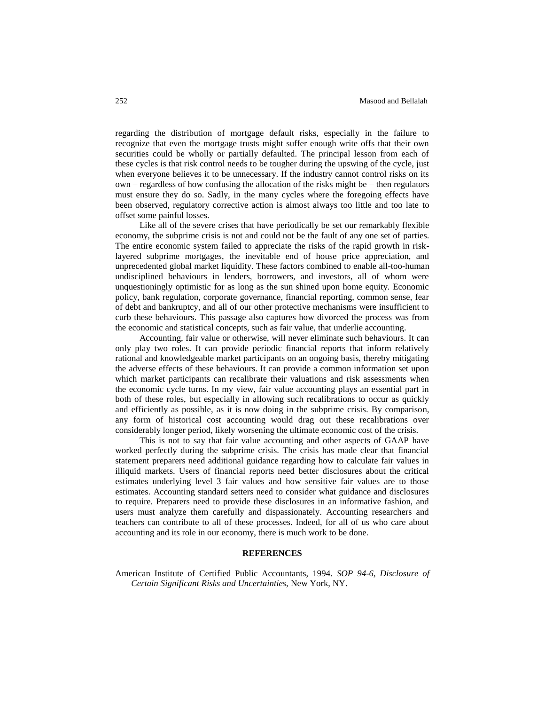regarding the distribution of mortgage default risks, especially in the failure to recognize that even the mortgage trusts might suffer enough write offs that their own securities could be wholly or partially defaulted. The principal lesson from each of these cycles is that risk control needs to be tougher during the upswing of the cycle, just when everyone believes it to be unnecessary. If the industry cannot control risks on its own – regardless of how confusing the allocation of the risks might be – then regulators must ensure they do so. Sadly, in the many cycles where the foregoing effects have been observed, regulatory corrective action is almost always too little and too late to offset some painful losses.

Like all of the severe crises that have periodically be set our remarkably flexible economy, the subprime crisis is not and could not be the fault of any one set of parties. The entire economic system failed to appreciate the risks of the rapid growth in risklayered subprime mortgages, the inevitable end of house price appreciation, and unprecedented global market liquidity. These factors combined to enable all-too-human undisciplined behaviours in lenders, borrowers, and investors, all of whom were unquestioningly optimistic for as long as the sun shined upon home equity. Economic policy, bank regulation, corporate governance, financial reporting, common sense, fear of debt and bankruptcy, and all of our other protective mechanisms were insufficient to curb these behaviours. This passage also captures how divorced the process was from the economic and statistical concepts, such as fair value, that underlie accounting.

Accounting, fair value or otherwise, will never eliminate such behaviours. It can only play two roles. It can provide periodic financial reports that inform relatively rational and knowledgeable market participants on an ongoing basis, thereby mitigating the adverse effects of these behaviours. It can provide a common information set upon which market participants can recalibrate their valuations and risk assessments when the economic cycle turns. In my view, fair value accounting plays an essential part in both of these roles, but especially in allowing such recalibrations to occur as quickly and efficiently as possible, as it is now doing in the subprime crisis. By comparison, any form of historical cost accounting would drag out these recalibrations over considerably longer period, likely worsening the ultimate economic cost of the crisis.

This is not to say that fair value accounting and other aspects of GAAP have worked perfectly during the subprime crisis. The crisis has made clear that financial statement preparers need additional guidance regarding how to calculate fair values in illiquid markets. Users of financial reports need better disclosures about the critical estimates underlying level 3 fair values and how sensitive fair values are to those estimates. Accounting standard setters need to consider what guidance and disclosures to require. Preparers need to provide these disclosures in an informative fashion, and users must analyze them carefully and dispassionately. Accounting researchers and teachers can contribute to all of these processes. Indeed, for all of us who care about accounting and its role in our economy, there is much work to be done.

### **REFERENCES**

American Institute of Certified Public Accountants, 1994. *SOP 94-6, Disclosure of Certain Significant Risks and Uncertainties,* New York, NY.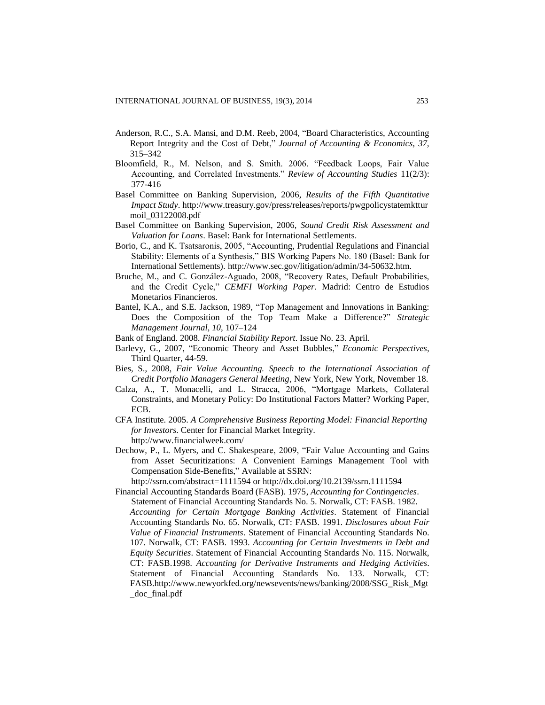- Anderson, R.C., S.A. Mansi, and D.M. Reeb, 2004, "Board Characteristics, Accounting Report Integrity and the Cost of Debt," *Journal of Accounting & Economics, 37,*  315–342
- Bloomfield, R., M. Nelson, and S. Smith. 2006. "Feedback Loops, Fair Value Accounting, and Correlated Investments." *Review of Accounting Studies* 11(2/3): 377-416
- Basel Committee on Banking Supervision, 2006, *Results of the Fifth Quantitative Impact Study*. http://www.treasury.gov/press/releases/reports/pwgpolicystatemkttur moil\_03122008.pdf
- Basel Committee on Banking Supervision, 2006, *Sound Credit Risk Assessment and Valuation for Loans*. Basel: Bank for International Settlements.
- Borio, C., and K. Tsatsaronis, 2005, "Accounting, Prudential Regulations and Financial Stability: Elements of a Synthesis," BIS Working Papers No. 180 (Basel: Bank for International Settlements). http://www.sec.gov/litigation/admin/34-50632.htm.
- Bruche, M., and C. González-Aguado, 2008, "Recovery Rates, Default Probabilities, and the Credit Cycle," *CEMFI Working Paper*. Madrid: Centro de Estudios Monetarios Financieros.
- Bantel, K.A., and S.E. Jackson, 1989, "Top Management and Innovations in Banking: Does the Composition of the Top Team Make a Difference?" *Strategic Management Journal, 10,* 107–124
- Bank of England. 2008*. Financial Stability Report*. Issue No. 23. April.
- Barlevy, G., 2007, "Economic Theory and Asset Bubbles," *Economic Perspectives*, Third Quarter, 44-59.
- Bies, S., 2008, *Fair Value Accounting. Speech to the International Association of Credit Portfolio Managers General Meeting*, New York, New York, November 18.
- Calza, A., T. Monacelli, and L. Stracca, 2006, "Mortgage Markets, Collateral Constraints, and Monetary Policy: Do Institutional Factors Matter? Working Paper, ECB.
- CFA Institute. 2005. *A Comprehensive Business Reporting Model: Financial Reporting for Investors*. Center for Financial Market Integrity. http://www.financialweek.com/
- Dechow, P., L. Myers, and C. Shakespeare, 2009, "Fair Value Accounting and Gains from Asset Securitizations: A Convenient Earnings Management Tool with Compensation Side-Benefits," Available at SSRN:
	- <http://ssrn.com/abstract=1111594> or<http://dx.doi.org/10.2139/ssrn.1111594>
- Financial Accounting Standards Board (FASB). 1975, *Accounting for Contingencies*. Statement of Financial Accounting Standards No. 5. Norwalk, CT: FASB. 1982. *Accounting for Certain Mortgage Banking Activities*. Statement of Financial Accounting Standards No. 65. Norwalk, CT: FASB. 1991. *Disclosures about Fair Value of Financial Instruments*. Statement of Financial Accounting Standards No. 107. Norwalk, CT: FASB. 1993. *Accounting for Certain Investments in Debt and Equity Securities*. Statement of Financial Accounting Standards No. 115. Norwalk, CT: FASB.1998*. Accounting for Derivative Instruments and Hedging Activities*. Statement of Financial Accounting Standards No. 133. Norwalk, CT: FASB.http://www.newyorkfed.org/newsevents/news/banking/2008/SSG\_Risk\_Mgt \_doc\_final.pdf